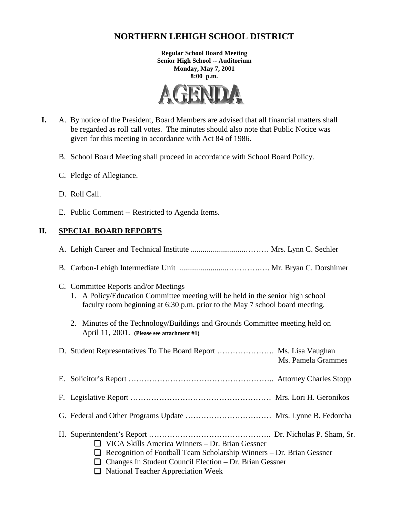# **NORTHERN LEHIGH SCHOOL DISTRICT**

**Regular School Board Meeting Senior High School -- Auditorium Monday, May 7, 2001 8:00 p.m.**



- **I.** A. By notice of the President, Board Members are advised that all financial matters shall be regarded as roll call votes. The minutes should also note that Public Notice was given for this meeting in accordance with Act 84 of 1986.
	- B. School Board Meeting shall proceed in accordance with School Board Policy.
	- C. Pledge of Allegiance.
	- D. Roll Call.
	- E. Public Comment -- Restricted to Agenda Items.

# **II. SPECIAL BOARD REPORTS**

| C. Committee Reports and/or Meetings<br>1. A Policy/Education Committee meeting will be held in the senior high school<br>faculty room beginning at 6:30 p.m. prior to the May 7 school board meeting.                                              |
|-----------------------------------------------------------------------------------------------------------------------------------------------------------------------------------------------------------------------------------------------------|
| 2. Minutes of the Technology/Buildings and Grounds Committee meeting held on<br>April 11, 2001. (Please see attachment #1)                                                                                                                          |
| D. Student Representatives To The Board Report  Ms. Lisa Vaughan<br>Ms. Pamela Grammes                                                                                                                                                              |
|                                                                                                                                                                                                                                                     |
|                                                                                                                                                                                                                                                     |
|                                                                                                                                                                                                                                                     |
| VICA Skills America Winners - Dr. Brian Gessner<br>$\Box$<br>Recognition of Football Team Scholarship Winners - Dr. Brian Gessner<br>⊔<br>Changes In Student Council Election – Dr. Brian Gessner<br>ப<br>$\Box$ National Teacher Appreciation Week |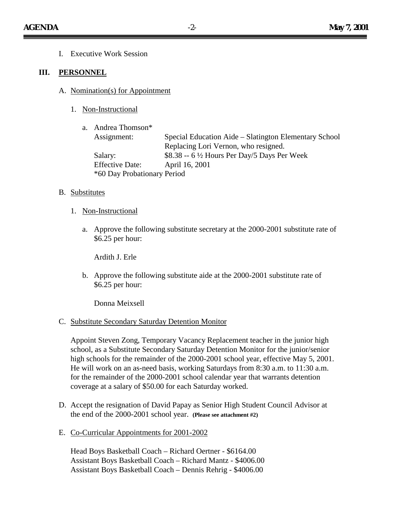I. Executive Work Session

#### **III. PERSONNEL**

- A. Nomination(s) for Appointment
	- 1. Non-Instructional

| a. Andrea Thomson*          |                                                        |
|-----------------------------|--------------------------------------------------------|
| Assignment:                 | Special Education Aide – Slatington Elementary School  |
|                             | Replacing Lori Vernon, who resigned.                   |
| Salary:                     | \$8.38 -- $6\frac{1}{2}$ Hours Per Day/5 Days Per Week |
| <b>Effective Date:</b>      | April 16, 2001                                         |
| *60 Day Probationary Period |                                                        |

#### B. Substitutes

- 1. Non-Instructional
	- a. Approve the following substitute secretary at the 2000-2001 substitute rate of \$6.25 per hour:

Ardith J. Erle

b. Approve the following substitute aide at the 2000-2001 substitute rate of \$6.25 per hour:

Donna Meixsell

C. Substitute Secondary Saturday Detention Monitor

Appoint Steven Zong, Temporary Vacancy Replacement teacher in the junior high school, as a Substitute Secondary Saturday Detention Monitor for the junior/senior high schools for the remainder of the 2000-2001 school year, effective May 5, 2001. He will work on an as-need basis, working Saturdays from 8:30 a.m. to 11:30 a.m. for the remainder of the 2000-2001 school calendar year that warrants detention coverage at a salary of \$50.00 for each Saturday worked.

- D. Accept the resignation of David Papay as Senior High Student Council Advisor at the end of the 2000-2001 school year. **(Please see attachment #2)**
- E. Co-Curricular Appointments for 2001-2002

Head Boys Basketball Coach – Richard Oertner - \$6164.00 Assistant Boys Basketball Coach – Richard Mantz - \$4006.00 Assistant Boys Basketball Coach – Dennis Rehrig - \$4006.00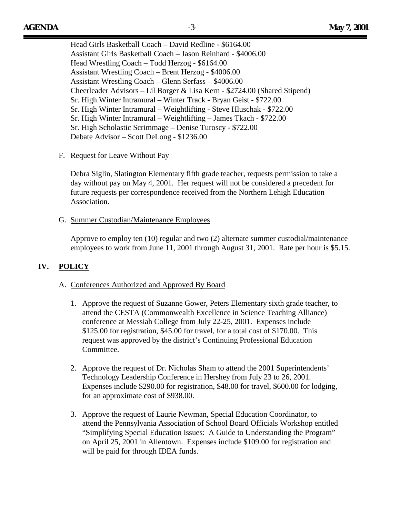Head Girls Basketball Coach – David Redline - \$6164.00 Assistant Girls Basketball Coach – Jason Reinhard - \$4006.00 Head Wrestling Coach – Todd Herzog - \$6164.00 Assistant Wrestling Coach – Brent Herzog - \$4006.00 Assistant Wrestling Coach – Glenn Serfass – \$4006.00 Cheerleader Advisors – Lil Borger & Lisa Kern - \$2724.00 (Shared Stipend) Sr. High Winter Intramural – Winter Track - Bryan Geist - \$722.00 Sr. High Winter Intramural – Weightlifting - Steve Hluschak - \$722.00 Sr. High Winter Intramural – Weightlifting – James Tkach - \$722.00 Sr. High Scholastic Scrimmage – Denise Turoscy - \$722.00 Debate Advisor – Scott DeLong - \$1236.00

#### F. Request for Leave Without Pay

Debra Siglin, Slatington Elementary fifth grade teacher, requests permission to take a day without pay on May 4, 2001. Her request will not be considered a precedent for future requests per correspondence received from the Northern Lehigh Education Association.

#### G. Summer Custodian/Maintenance Employees

Approve to employ ten (10) regular and two (2) alternate summer custodial/maintenance employees to work from June 11, 2001 through August 31, 2001. Rate per hour is \$5.15.

# **IV. POLICY**

#### A. Conferences Authorized and Approved By Board

- 1. Approve the request of Suzanne Gower, Peters Elementary sixth grade teacher, to attend the CESTA (Commonwealth Excellence in Science Teaching Alliance) conference at Messiah College from July 22-25, 2001. Expenses include \$125.00 for registration, \$45.00 for travel, for a total cost of \$170.00. This request was approved by the district's Continuing Professional Education Committee.
- 2. Approve the request of Dr. Nicholas Sham to attend the 2001 Superintendents' Technology Leadership Conference in Hershey from July 23 to 26, 2001. Expenses include \$290.00 for registration, \$48.00 for travel, \$600.00 for lodging, for an approximate cost of \$938.00.
- 3. Approve the request of Laurie Newman, Special Education Coordinator, to attend the Pennsylvania Association of School Board Officials Workshop entitled "Simplifying Special Education Issues: A Guide to Understanding the Program" on April 25, 2001 in Allentown. Expenses include \$109.00 for registration and will be paid for through IDEA funds.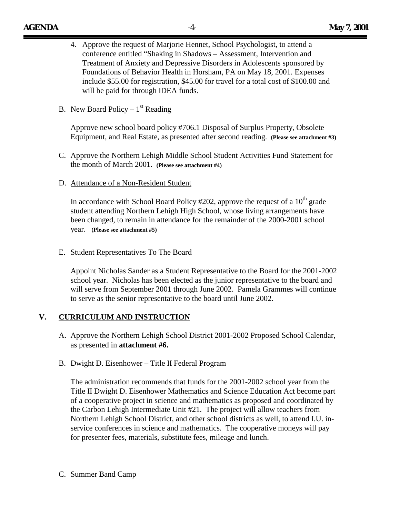4. Approve the request of Marjorie Hennet, School Psychologist, to attend a conference entitled "Shaking in Shadows – Assessment, Intervention and Treatment of Anxiety and Depressive Disorders in Adolescents sponsored by Foundations of Behavior Health in Horsham, PA on May 18, 2001. Expenses include \$55.00 for registration, \$45.00 for travel for a total cost of \$100.00 and will be paid for through IDEA funds.

### B. New Board Policy –  $1<sup>st</sup>$  Reading

Approve new school board policy #706.1 Disposal of Surplus Property, Obsolete Equipment, and Real Estate, as presented after second reading. **(Please see attachment #3)**

C. Approve the Northern Lehigh Middle School Student Activities Fund Statement for the month of March 2001. **(Please see attachment #4)**

#### D. Attendance of a Non-Resident Student

In accordance with School Board Policy #202, approve the request of a  $10^{th}$  grade student attending Northern Lehigh High School, whose living arrangements have been changed, to remain in attendance for the remainder of the 2000-2001 school year. **(Please see attachment #5)**

#### E. Student Representatives To The Board

Appoint Nicholas Sander as a Student Representative to the Board for the 2001-2002 school year. Nicholas has been elected as the junior representative to the board and will serve from September 2001 through June 2002. Pamela Grammes will continue to serve as the senior representative to the board until June 2002.

### **V. CURRICULUM AND INSTRUCTION**

A. Approve the Northern Lehigh School District 2001-2002 Proposed School Calendar, as presented in **attachment #6.**

### B. Dwight D. Eisenhower – Title II Federal Program

The administration recommends that funds for the 2001-2002 school year from the Title II Dwight D. Eisenhower Mathematics and Science Education Act become part of a cooperative project in science and mathematics as proposed and coordinated by the Carbon Lehigh Intermediate Unit #21. The project will allow teachers from Northern Lehigh School District, and other school districts as well, to attend I.U. inservice conferences in science and mathematics. The cooperative moneys will pay for presenter fees, materials, substitute fees, mileage and lunch.

### C. Summer Band Camp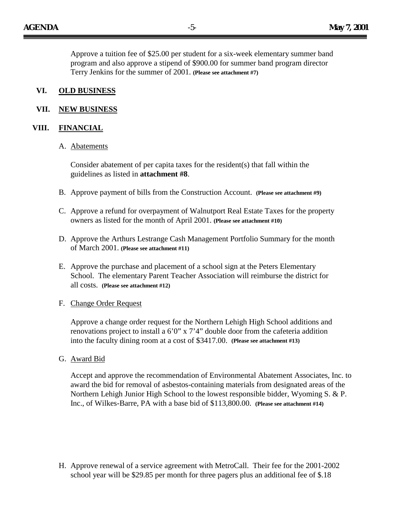Approve a tuition fee of \$25.00 per student for a six-week elementary summer band program and also approve a stipend of \$900.00 for summer band program director Terry Jenkins for the summer of 2001. **(Please see attachment #7)**

### **VI. OLD BUSINESS**

### **VII. NEW BUSINESS**

#### **VIII. FINANCIAL**

#### A. Abatements

Consider abatement of per capita taxes for the resident(s) that fall within the guidelines as listed in **attachment #8**.

- B. Approve payment of bills from the Construction Account. **(Please see attachment #9)**
- C. Approve a refund for overpayment of Walnutport Real Estate Taxes for the property owners as listed for the month of April 2001. **(Please see attachment #10)**
- D. Approve the Arthurs Lestrange Cash Management Portfolio Summary for the month of March 2001. **(Please see attachment #11)**
- E. Approve the purchase and placement of a school sign at the Peters Elementary School. The elementary Parent Teacher Association will reimburse the district for all costs. **(Please see attachment #12)**

#### F. Change Order Request

Approve a change order request for the Northern Lehigh High School additions and renovations project to install a  $6'0''$  x  $7'4''$  double door from the cafeteria addition into the faculty dining room at a cost of \$3417.00. **(Please see attachment #13)**

G. Award Bid

Accept and approve the recommendation of Environmental Abatement Associates, Inc. to award the bid for removal of asbestos-containing materials from designated areas of the Northern Lehigh Junior High School to the lowest responsible bidder, Wyoming S. & P. Inc., of Wilkes-Barre, PA with a base bid of \$113,800.00. **(Please see attachment #14)**

H. Approve renewal of a service agreement with MetroCall. Their fee for the 2001-2002 school year will be \$29.85 per month for three pagers plus an additional fee of \$.18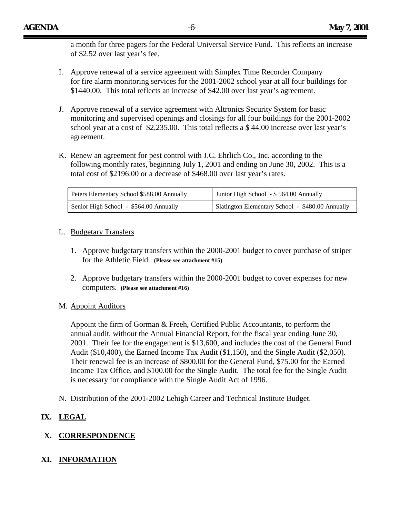a month for three pagers for the Federal Universal Service Fund. This reflects an increase of \$2.52 over last year's fee.

- I. Approve renewal of a service agreement with Simplex Time Recorder Company for fire alarm monitoring services for the 2001-2002 school year at all four buildings for \$1440.00. This total reflects an increase of \$42.00 over last year's agreement.
- J. Approve renewal of a service agreement with Altronics Security System for basic monitoring and supervised openings and closings for all four buildings for the 2001-2002 school year at a cost of \$2,235.00. This total reflects a \$ 44.00 increase over last year's agreement.
- K. Renew an agreement for pest control with J.C. Ehrlich Co., Inc. according to the following monthly rates, beginning July 1, 2001 and ending on June 30, 2002. This is a total cost of \$2196.00 or a decrease of \$468.00 over last year's rates.

| Peters Elementary School \$588.00 Annually | Junior High School - \$564.00 Annually           |
|--------------------------------------------|--------------------------------------------------|
| Senior High School - \$564.00 Annually     | Slatington Elementary School - \$480.00 Annually |

### L. Budgetary Transfers

- 1. Approve budgetary transfers within the 2000-2001 budget to cover purchase of striper for the Athletic Field. **(Please see attachment #15)**
- 2. Approve budgetary transfers within the 2000-2001 budget to cover expenses for new computers. **(Please see attachment #16)**

# M. Appoint Auditors

Appoint the firm of Gorman & Freeh, Certified Public Accountants, to perform the annual audit, without the Annual Financial Report, for the fiscal year ending June 30, 2001. Their fee for the engagement is \$13,600, and includes the cost of the General Fund Audit (\$10,400), the Earned Income Tax Audit (\$1,150), and the Single Audit (\$2,050). Their renewal fee is an increase of \$800.00 for the General Fund, \$75.00 for the Earned Income Tax Office, and \$100.00 for the Single Audit. The total fee for the Single Audit is necessary for compliance with the Single Audit Act of 1996.

N. Distribution of the 2001-2002 Lehigh Career and Technical Institute Budget.

# **IX. LEGAL**

# **X. CORRESPONDENCE**

# **XI. INFORMATION**